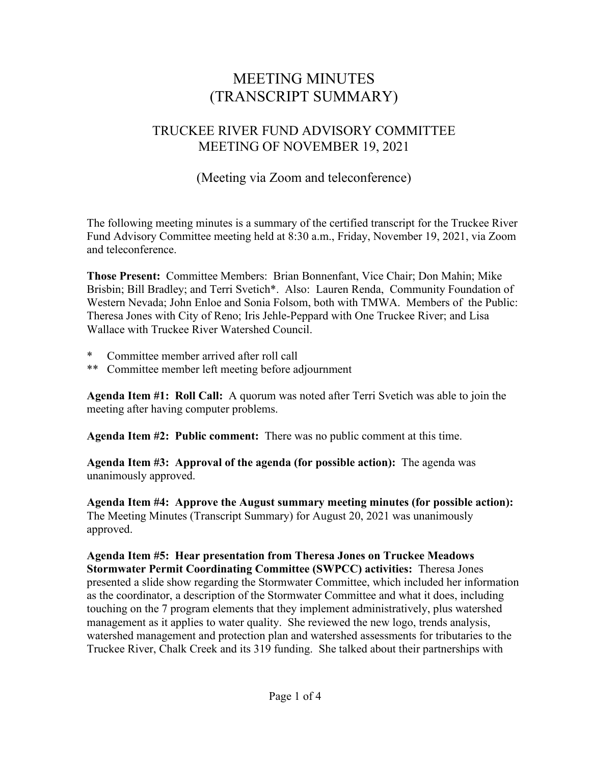# MEETING MINUTES (TRANSCRIPT SUMMARY)

## TRUCKEE RIVER FUND ADVISORY COMMITTEE MEETING OF NOVEMBER 19, 2021

## (Meeting via Zoom and teleconference)

The following meeting minutes is a summary of the certified transcript for the Truckee River Fund Advisory Committee meeting held at 8:30 a.m., Friday, November 19, 2021, via Zoom and teleconference.

**Those Present:** Committee Members: Brian Bonnenfant, Vice Chair; Don Mahin; Mike Brisbin; Bill Bradley; and Terri Svetich\*. Also: Lauren Renda, Community Foundation of Western Nevada; John Enloe and Sonia Folsom, both with TMWA. Members of the Public: Theresa Jones with City of Reno; Iris Jehle-Peppard with One Truckee River; and Lisa Wallace with Truckee River Watershed Council.

- Committee member arrived after roll call
- \*\* Committee member left meeting before adjournment

**Agenda Item #1: Roll Call:** A quorum was noted after Terri Svetich was able to join the meeting after having computer problems.

**Agenda Item #2: Public comment:** There was no public comment at this time.

**Agenda Item #3: Approval of the agenda (for possible action):** The agenda was unanimously approved.

**Agenda Item #4: Approve the August summary meeting minutes (for possible action):**  The Meeting Minutes (Transcript Summary) for August 20, 2021 was unanimously approved.

**Agenda Item #5: Hear presentation from Theresa Jones on Truckee Meadows Stormwater Permit Coordinating Committee (SWPCC) activities:** Theresa Jones presented a slide show regarding the Stormwater Committee, which included her information as the coordinator, a description of the Stormwater Committee and what it does, including touching on the 7 program elements that they implement administratively, plus watershed management as it applies to water quality. She reviewed the new logo, trends analysis, watershed management and protection plan and watershed assessments for tributaries to the Truckee River, Chalk Creek and its 319 funding. She talked about their partnerships with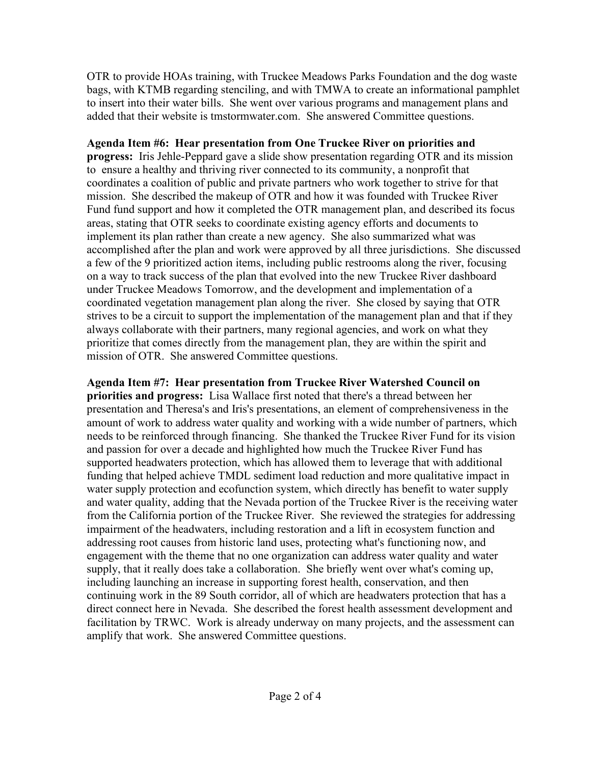OTR to provide HOAs training, with Truckee Meadows Parks Foundation and the dog waste bags, with KTMB regarding stenciling, and with TMWA to create an informational pamphlet to insert into their water bills. She went over various programs and management plans and added that their website is tmstormwater.com. She answered Committee questions.

#### **Agenda Item #6: Hear presentation from One Truckee River on priorities and**

**progress:** Iris Jehle-Peppard gave a slide show presentation regarding OTR and its mission to ensure a healthy and thriving river connected to its community, a nonprofit that coordinates a coalition of public and private partners who work together to strive for that mission. She described the makeup of OTR and how it was founded with Truckee River Fund fund support and how it completed the OTR management plan, and described its focus areas, stating that OTR seeks to coordinate existing agency efforts and documents to implement its plan rather than create a new agency. She also summarized what was accomplished after the plan and work were approved by all three jurisdictions. She discussed a few of the 9 prioritized action items, including public restrooms along the river, focusing on a way to track success of the plan that evolved into the new Truckee River dashboard under Truckee Meadows Tomorrow, and the development and implementation of a coordinated vegetation management plan along the river. She closed by saying that OTR strives to be a circuit to support the implementation of the management plan and that if they always collaborate with their partners, many regional agencies, and work on what they prioritize that comes directly from the management plan, they are within the spirit and mission of OTR. She answered Committee questions.

**Agenda Item #7: Hear presentation from Truckee River Watershed Council on priorities and progress:** Lisa Wallace first noted that there's a thread between her presentation and Theresa's and Iris's presentations, an element of comprehensiveness in the amount of work to address water quality and working with a wide number of partners, which needs to be reinforced through financing. She thanked the Truckee River Fund for its vision and passion for over a decade and highlighted how much the Truckee River Fund has supported headwaters protection, which has allowed them to leverage that with additional funding that helped achieve TMDL sediment load reduction and more qualitative impact in water supply protection and ecofunction system, which directly has benefit to water supply and water quality, adding that the Nevada portion of the Truckee River is the receiving water from the California portion of the Truckee River. She reviewed the strategies for addressing impairment of the headwaters, including restoration and a lift in ecosystem function and addressing root causes from historic land uses, protecting what's functioning now, and engagement with the theme that no one organization can address water quality and water supply, that it really does take a collaboration. She briefly went over what's coming up, including launching an increase in supporting forest health, conservation, and then continuing work in the 89 South corridor, all of which are headwaters protection that has a direct connect here in Nevada. She described the forest health assessment development and facilitation by TRWC. Work is already underway on many projects, and the assessment can amplify that work. She answered Committee questions.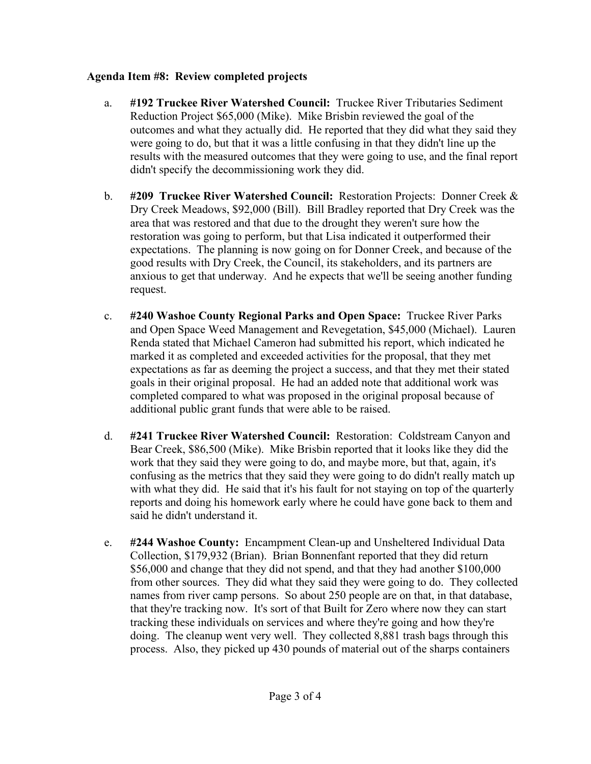#### **Agenda Item #8: Review completed projects**

- a. **#192 Truckee River Watershed Council:** Truckee River Tributaries Sediment Reduction Project \$65,000 (Mike). Mike Brisbin reviewed the goal of the outcomes and what they actually did. He reported that they did what they said they were going to do, but that it was a little confusing in that they didn't line up the results with the measured outcomes that they were going to use, and the final report didn't specify the decommissioning work they did.
- b. **#209 Truckee River Watershed Council:** Restoration Projects: Donner Creek & Dry Creek Meadows, \$92,000 (Bill). Bill Bradley reported that Dry Creek was the area that was restored and that due to the drought they weren't sure how the restoration was going to perform, but that Lisa indicated it outperformed their expectations. The planning is now going on for Donner Creek, and because of the good results with Dry Creek, the Council, its stakeholders, and its partners are anxious to get that underway. And he expects that we'll be seeing another funding request.
- c. **#240 Washoe County Regional Parks and Open Space:** Truckee River Parks and Open Space Weed Management and Revegetation, \$45,000 (Michael). Lauren Renda stated that Michael Cameron had submitted his report, which indicated he marked it as completed and exceeded activities for the proposal, that they met expectations as far as deeming the project a success, and that they met their stated goals in their original proposal. He had an added note that additional work was completed compared to what was proposed in the original proposal because of additional public grant funds that were able to be raised.
- d. **#241 Truckee River Watershed Council:** Restoration: Coldstream Canyon and Bear Creek, \$86,500 (Mike). Mike Brisbin reported that it looks like they did the work that they said they were going to do, and maybe more, but that, again, it's confusing as the metrics that they said they were going to do didn't really match up with what they did. He said that it's his fault for not staying on top of the quarterly reports and doing his homework early where he could have gone back to them and said he didn't understand it.
- e. **#244 Washoe County:** Encampment Clean-up and Unsheltered Individual Data Collection, \$179,932 (Brian). Brian Bonnenfant reported that they did return \$56,000 and change that they did not spend, and that they had another \$100,000 from other sources. They did what they said they were going to do. They collected names from river camp persons. So about 250 people are on that, in that database, that they're tracking now. It's sort of that Built for Zero where now they can start tracking these individuals on services and where they're going and how they're doing. The cleanup went very well. They collected 8,881 trash bags through this process. Also, they picked up 430 pounds of material out of the sharps containers